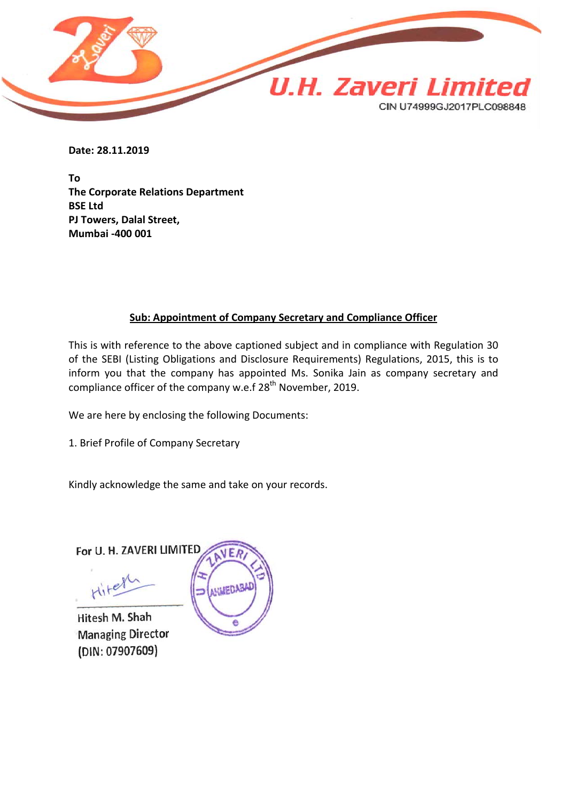

**Date: 28.11.2019**

**To The Corporate Relations Department BSE Ltd PJ Towers, Dalal Street, Mumbai -400 001**

## **Sub: Appointment of Company Secretary and Compliance Officer**

This is with reference to the above captioned subject and in compliance with Regulation 30 of the SEBI (Listing Obligations and Disclosure Requirements) Regulations, 2015, this is to inform you that the company has appointed Ms. Sonika Jain as company secretary and compliance officer of the company w.e.f  $28<sup>th</sup>$  November, 2019.

We are here by enclosing the following Documents:

1. Brief Profile of Company Secretary

Kindly acknowledge the same and take on your records.

For U. H. ZAVERI LIMITED

Hitel

Hitesh M. Shah **Managing Director** (DIN: 07907609)